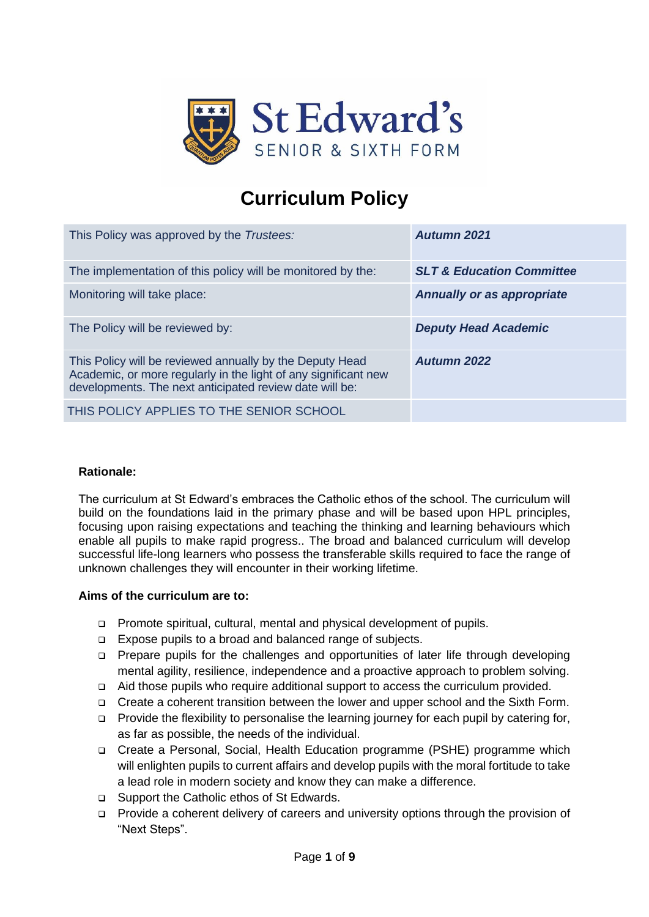

# **Curriculum Policy**

| This Policy was approved by the Trustees:                                                                                                                                              | <b>Autumn 2021</b>                   |
|----------------------------------------------------------------------------------------------------------------------------------------------------------------------------------------|--------------------------------------|
| The implementation of this policy will be monitored by the:                                                                                                                            | <b>SLT &amp; Education Committee</b> |
| Monitoring will take place:                                                                                                                                                            | <b>Annually or as appropriate</b>    |
| The Policy will be reviewed by:                                                                                                                                                        | <b>Deputy Head Academic</b>          |
| This Policy will be reviewed annually by the Deputy Head<br>Academic, or more regularly in the light of any significant new<br>developments. The next anticipated review date will be: | <b>Autumn 2022</b>                   |
| THIS POLICY APPLIES TO THE SENIOR SCHOOL                                                                                                                                               |                                      |

#### **Rationale:**

The curriculum at St Edward's embraces the Catholic ethos of the school. The curriculum will build on the foundations laid in the primary phase and will be based upon HPL principles, focusing upon raising expectations and teaching the thinking and learning behaviours which enable all pupils to make rapid progress.. The broad and balanced curriculum will develop successful life-long learners who possess the transferable skills required to face the range of unknown challenges they will encounter in their working lifetime.

#### **Aims of the curriculum are to:**

- ❑ Promote spiritual, cultural, mental and physical development of pupils.
- ❑ Expose pupils to a broad and balanced range of subjects.
- ❑ Prepare pupils for the challenges and opportunities of later life through developing mental agility, resilience, independence and a proactive approach to problem solving.
- ❑ Aid those pupils who require additional support to access the curriculum provided.
- ❑ Create a coherent transition between the lower and upper school and the Sixth Form.
- ❑ Provide the flexibility to personalise the learning journey for each pupil by catering for, as far as possible, the needs of the individual.
- ❑ Create a Personal, Social, Health Education programme (PSHE) programme which will enlighten pupils to current affairs and develop pupils with the moral fortitude to take a lead role in modern society and know they can make a difference.
- ❑ Support the Catholic ethos of St Edwards.
- ❑ Provide a coherent delivery of careers and university options through the provision of "Next Steps".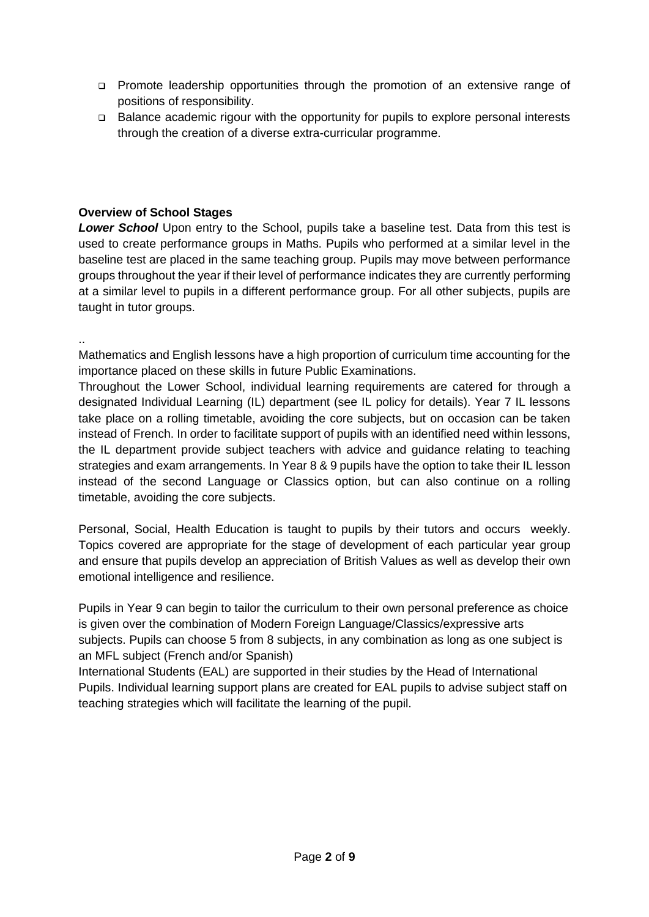- ❑ Promote leadership opportunities through the promotion of an extensive range of positions of responsibility.
- ❑ Balance academic rigour with the opportunity for pupils to explore personal interests through the creation of a diverse extra-curricular programme.

### **Overview of School Stages**

*Lower School* Upon entry to the School, pupils take a baseline test. Data from this test is used to create performance groups in Maths. Pupils who performed at a similar level in the baseline test are placed in the same teaching group. Pupils may move between performance groups throughout the year if their level of performance indicates they are currently performing at a similar level to pupils in a different performance group. For all other subjects, pupils are taught in tutor groups.

.. Mathematics and English lessons have a high proportion of curriculum time accounting for the importance placed on these skills in future Public Examinations.

Throughout the Lower School, individual learning requirements are catered for through a designated Individual Learning (IL) department (see IL policy for details). Year 7 IL lessons take place on a rolling timetable, avoiding the core subjects, but on occasion can be taken instead of French. In order to facilitate support of pupils with an identified need within lessons, the IL department provide subject teachers with advice and guidance relating to teaching strategies and exam arrangements. In Year 8 & 9 pupils have the option to take their IL lesson instead of the second Language or Classics option, but can also continue on a rolling timetable, avoiding the core subjects.

Personal, Social, Health Education is taught to pupils by their tutors and occurs weekly. Topics covered are appropriate for the stage of development of each particular year group and ensure that pupils develop an appreciation of British Values as well as develop their own emotional intelligence and resilience.

Pupils in Year 9 can begin to tailor the curriculum to their own personal preference as choice is given over the combination of Modern Foreign Language/Classics/expressive arts subjects. Pupils can choose 5 from 8 subjects, in any combination as long as one subject is an MFL subject (French and/or Spanish)

International Students (EAL) are supported in their studies by the Head of International Pupils. Individual learning support plans are created for EAL pupils to advise subject staff on teaching strategies which will facilitate the learning of the pupil.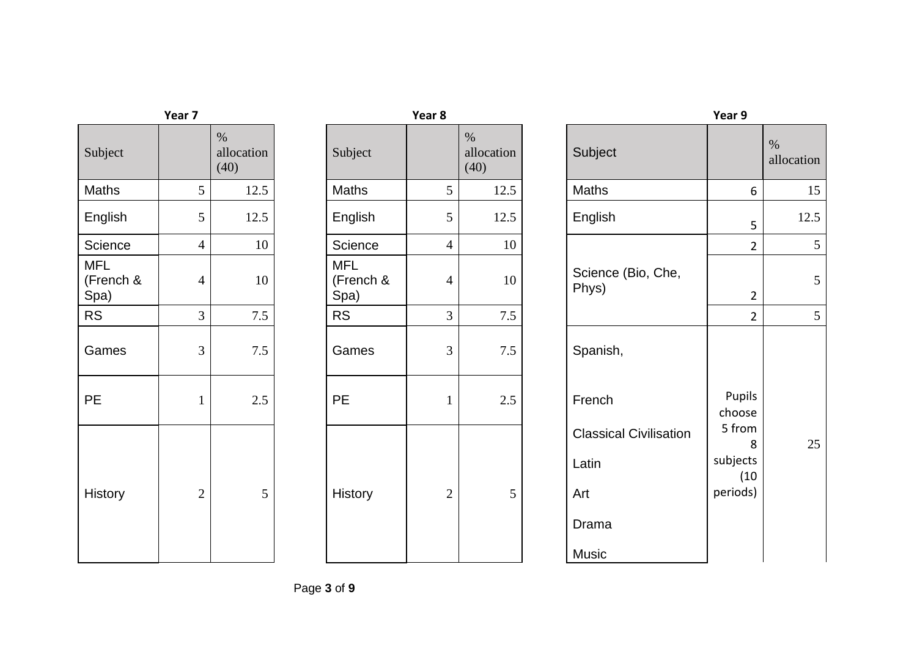| Subject                         |                | $\%$<br>allocation<br>(40) | Subject                         |                | $\%$<br>allocation<br>(40) |
|---------------------------------|----------------|----------------------------|---------------------------------|----------------|----------------------------|
| Maths                           | 5              | 12.5                       | Maths                           | 5              | 12.5                       |
| English                         | 5              | 12.5                       | English                         | 5              | 12.5                       |
| Science                         | $\overline{4}$ | 10                         | Science                         | $\overline{4}$ |                            |
| <b>MFL</b><br>(French &<br>Spa) | $\overline{4}$ | 10                         | <b>MFL</b><br>(French &<br>Spa) | $\overline{4}$ |                            |
| <b>RS</b>                       | 3              | 7.5                        | <b>RS</b>                       | 3              | 7.5                        |
| Games                           | 3              | 7.5                        | Games                           | $\overline{3}$ |                            |
| PE                              | $\mathbf{1}$   | 2.5                        | <b>PE</b>                       | $\mathbf{1}$   |                            |
| <b>History</b>                  | $\overline{2}$ | 5                          | History                         | $\overline{2}$ |                            |

| Year 7                          |                |                            |                                 | Year 8         | Year 9                     |                               |                         |
|---------------------------------|----------------|----------------------------|---------------------------------|----------------|----------------------------|-------------------------------|-------------------------|
| Subject                         |                | $\%$<br>allocation<br>(40) | Subject                         |                | $\%$<br>allocation<br>(40) | Subject                       |                         |
| <b>Maths</b>                    | 5              | 12.5                       | Maths                           | 5              | 12.5                       | Maths                         | 6                       |
| English                         | 5              | 12.5                       | English                         | 5              | 12.5                       | English                       | 5                       |
| Science                         | $\overline{4}$ | 10                         | Science                         | $\overline{4}$ | 10                         |                               | $\overline{a}$          |
| <b>MFL</b><br>(French &<br>Spa) | 4              | 10                         | <b>MFL</b><br>(French &<br>Spa) | $\overline{4}$ | 10                         | Science (Bio, Che,<br>Phys)   | $\overline{\mathbf{c}}$ |
| <b>RS</b>                       | 3              | 7.5                        | <b>RS</b>                       | $\mathfrak{Z}$ | 7.5                        |                               | $\overline{2}$          |
| Games                           | 3              | $7.5$                      | Games                           | $\mathfrak{Z}$ | $7.5\,$                    | Spanish,                      |                         |
| <b>PE</b>                       | $\mathbf{1}$   | $2.5$                      | PE                              | $\mathbf{1}$   | 2.5                        | French                        | Pupils<br>choose        |
|                                 |                |                            |                                 |                |                            | <b>Classical Civilisation</b> | 5 from<br>8             |
|                                 |                |                            |                                 |                |                            | Latin                         | subjects<br>(10         |
| <b>History</b>                  | $\mathbf{2}$   | 5                          | History                         | $\mathbf{2}$   | 5                          | Art                           | periods)                |
|                                 |                |                            |                                 |                |                            | Drama                         |                         |
|                                 |                |                            |                                 |                |                            | Music                         |                         |

| Subject                         |                | $\%$<br>allocation<br>(40) | Subject                         |                | $\%$<br>allocation<br>(40) | Subject                                                         |                                             | $\%$<br>allocation |
|---------------------------------|----------------|----------------------------|---------------------------------|----------------|----------------------------|-----------------------------------------------------------------|---------------------------------------------|--------------------|
| <b>Maths</b>                    | 5              | 12.5                       | Maths                           | 5              | 12.5                       | Maths                                                           | 6                                           | 15                 |
| English                         | 5              | 12.5                       | English                         | 5              | 12.5                       | English                                                         | 5                                           | 12.5               |
| Science                         | $\overline{4}$ | $10\,$                     | Science                         | $\overline{4}$ | 10                         |                                                                 | $\overline{2}$                              | $5\,$              |
| <b>MFL</b><br>(French &<br>Spa) | $\overline{4}$ | 10                         | <b>MFL</b><br>(French &<br>Spa) | $\overline{4}$ | 10                         | Science (Bio, Che,<br>Phys)                                     | $\overline{2}$                              | $\mathfrak s$      |
| <b>RS</b>                       | 3              | $7.5$                      | <b>RS</b>                       | 3              | $7.5\,$                    |                                                                 | $\overline{2}$                              | $5\,$              |
| Games                           | 3              | $7.5$                      | Games                           | 3              | $7.5\,$                    | Spanish,                                                        |                                             |                    |
| <b>PE</b>                       | $\mathbf{1}$   | 2.5                        | <b>PE</b>                       | $\mathbf{1}$   | 2.5                        | French                                                          | Pupils<br>choose                            |                    |
| <b>History</b>                  | $\overline{2}$ | 5                          | History                         | $\overline{2}$ | 5                          | <b>Classical Civilisation</b><br>Latin<br>Art<br>Drama<br>Music | 5 from<br>8<br>subjects<br>(10)<br>periods) | 25                 |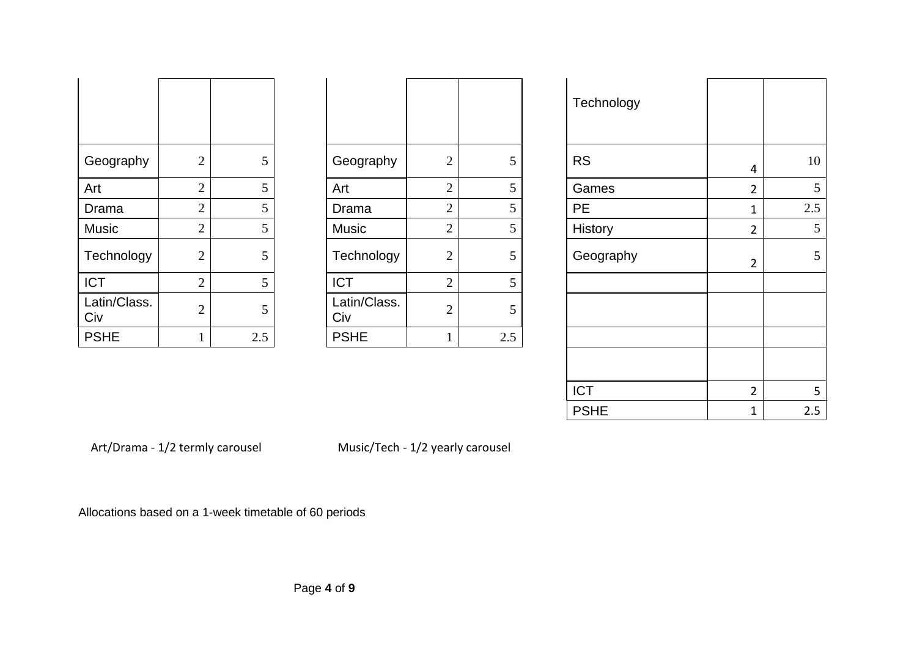|                     |                |     |                     |                |     | Technology |                |
|---------------------|----------------|-----|---------------------|----------------|-----|------------|----------------|
| Geography           | $\overline{2}$ | 5   | Geography           | $\overline{2}$ | 5   | <b>RS</b>  | 4              |
| Art                 | $\bigcirc$     | 5   | Art                 | $\overline{2}$ | 5   | Games      | $\overline{2}$ |
| Drama               | $\overline{2}$ | 5   | Drama               | $\overline{2}$ | 5   | <b>PE</b>  | 1              |
| <b>Music</b>        | $\overline{2}$ | 5   | <b>Music</b>        | $\overline{2}$ | 5   | History    | $\overline{2}$ |
| Technology          | $\overline{2}$ | 5   | Technology          | $\overline{2}$ | 5   | Geography  | $\overline{2}$ |
| <b>ICT</b>          | $\overline{2}$ | 5   | <b>ICT</b>          | $\overline{2}$ | 5   |            |                |
| Latin/Class.<br>Civ | $\mathcal{D}$  | 5   | Latin/Class.<br>Civ | $\overline{2}$ | 5   |            |                |
| <b>PSHE</b>         |                | 2.5 | <b>PSHE</b>         |                | 2.5 |            |                |

| Geography           | $\overline{2}$ | 5   |
|---------------------|----------------|-----|
| Art                 | $\overline{2}$ | 5   |
| Drama               | $\overline{2}$ | 5   |
| <b>Music</b>        | $\overline{2}$ | 5   |
| Technology          | $\overline{2}$ | 5   |
| <b>ICT</b>          | $\overline{2}$ | 5   |
| Latin/Class.<br>Civ | $\overline{2}$ | 5   |
| <b>PSHE</b>         | 1              | 2.5 |

|                     |                |                 |                     |                |     | Technology  |                |                |
|---------------------|----------------|-----------------|---------------------|----------------|-----|-------------|----------------|----------------|
| Geography           | $\mathbf{2}$   | 5               | Geography           | $\mathbf{2}$   | 5   | <b>RS</b>   | 4              | 10             |
| Art                 | $\mathbf{2}$   | 5               | Art                 | $\overline{2}$ | 5   | Games       | $\overline{2}$ | $\mathfrak{S}$ |
| Drama               | $\mathfrak{2}$ | 5               | Drama               | $\mathbf{2}$   | 5   | <b>PE</b>   | $\mathbf 1$    | 2.5            |
| Music               | $\mathfrak{2}$ | 5               | <b>Music</b>        | $\mathbf{2}$   | 5   | History     | $\overline{2}$ | 5              |
| Technology          | $\mathfrak{2}$ | 5               | Technology          | $\mathbf{2}$   | 5   | Geography   | $\overline{2}$ | 5              |
| <b>ICT</b>          | $\mathfrak{2}$ | $5\overline{)}$ | <b>ICT</b>          | $\mathbf{2}$   | 5   |             |                |                |
| Latin/Class.<br>Civ | $\mathfrak{2}$ | 5               | Latin/Class.<br>Civ | $\mathbf{2}$   | 5   |             |                |                |
| <b>PSHE</b>         |                | 2.5             | <b>PSHE</b>         |                | 2.5 |             |                |                |
|                     |                |                 |                     |                |     | <b>ICT</b>  | $\overline{2}$ | 5              |
|                     |                |                 |                     |                |     | <b>PSHE</b> | 1              | 2.5            |

Art/Drama - 1/2 termly carousel Music/Tech - 1/2 yearly carousel

Allocations based on a 1-week timetable of 60 periods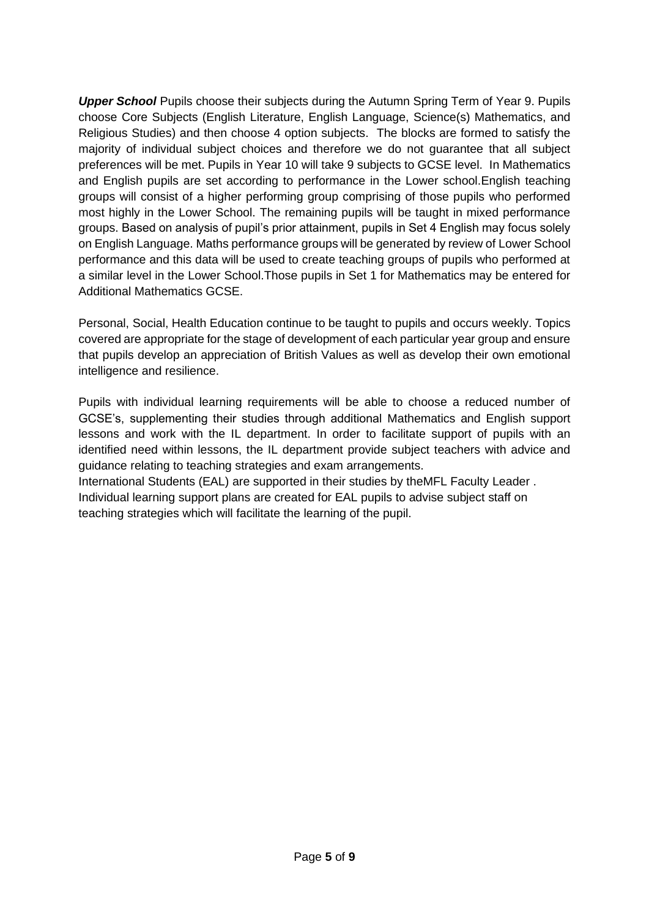*Upper School* Pupils choose their subjects during the Autumn Spring Term of Year 9. Pupils choose Core Subjects (English Literature, English Language, Science(s) Mathematics, and Religious Studies) and then choose 4 option subjects. The blocks are formed to satisfy the majority of individual subject choices and therefore we do not guarantee that all subject preferences will be met. Pupils in Year 10 will take 9 subjects to GCSE level. In Mathematics and English pupils are set according to performance in the Lower school.English teaching groups will consist of a higher performing group comprising of those pupils who performed most highly in the Lower School. The remaining pupils will be taught in mixed performance groups. Based on analysis of pupil's prior attainment, pupils in Set 4 English may focus solely on English Language. Maths performance groups will be generated by review of Lower School performance and this data will be used to create teaching groups of pupils who performed at a similar level in the Lower School.Those pupils in Set 1 for Mathematics may be entered for Additional Mathematics GCSE.

Personal, Social, Health Education continue to be taught to pupils and occurs weekly. Topics covered are appropriate for the stage of development of each particular year group and ensure that pupils develop an appreciation of British Values as well as develop their own emotional intelligence and resilience.

Pupils with individual learning requirements will be able to choose a reduced number of GCSE's, supplementing their studies through additional Mathematics and English support lessons and work with the IL department. In order to facilitate support of pupils with an identified need within lessons, the IL department provide subject teachers with advice and guidance relating to teaching strategies and exam arrangements.

International Students (EAL) are supported in their studies by theMFL Faculty Leader . Individual learning support plans are created for EAL pupils to advise subject staff on teaching strategies which will facilitate the learning of the pupil.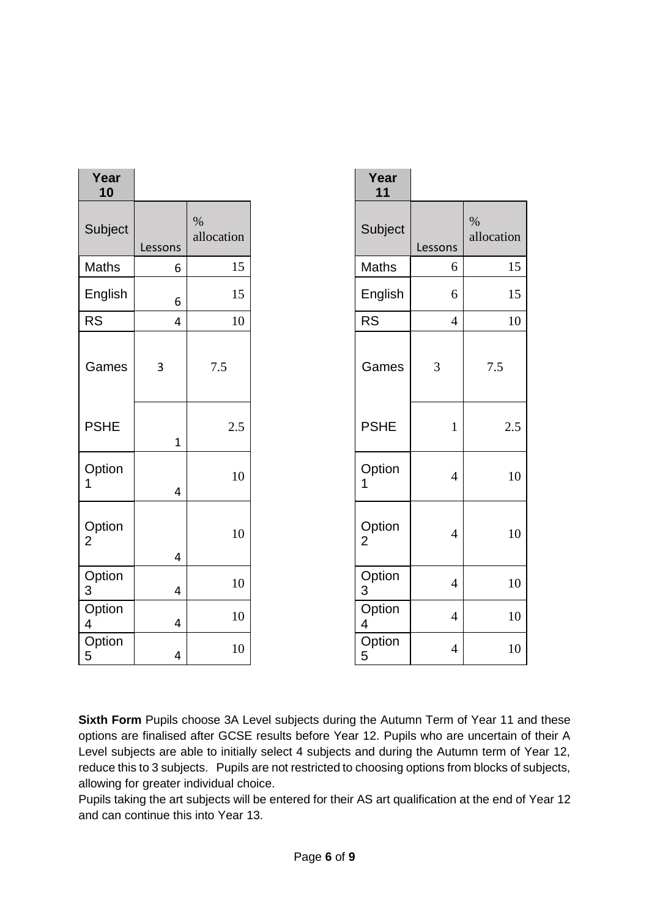| Year<br>10               |                         |                    | Year<br>11               |                |                    |
|--------------------------|-------------------------|--------------------|--------------------------|----------------|--------------------|
| Subject                  | Lessons                 | $\%$<br>allocation | Subject                  | Lessons        | $\%$<br>allocation |
| Maths                    | 6                       | 15                 | Maths                    | 6              | 15                 |
| English                  | 6                       | 15                 | English                  | 6              | 15                 |
| <b>RS</b>                | $\overline{4}$          | 10                 | <b>RS</b>                | $\overline{4}$ | 10                 |
| Games                    | 3                       | 7.5                | Games                    | 3              | 7.5                |
| <b>PSHE</b>              | $\mathbf{1}$            | 2.5                | <b>PSHE</b>              | $\mathbf{1}$   | 2.5                |
| Option<br>1              | $\overline{4}$          | 10                 | Option<br>1              | $\overline{4}$ | 10                 |
| Option<br>$\overline{2}$ | $\overline{4}$          | 10                 | Option<br>$\overline{2}$ | $\overline{4}$ | 10                 |
| Option<br>3              | $\overline{\mathbf{4}}$ | 10                 | Option<br>3              | $\overline{4}$ | 10                 |
| Option<br>4              | $\overline{4}$          | $10\,$             | Option<br>4              | $\overline{4}$ | 10                 |
| Option<br>$\sqrt{5}$     | 4                       | 10                 | Option<br>5              | $\overline{4}$ | 10                 |

|     | Year<br>11               |                |                    |
|-----|--------------------------|----------------|--------------------|
| ion | Subject                  | Lessons        | $\%$<br>allocation |
| 15  | Maths                    | 6              | 15                 |
| 15  | English                  | 6              | 15                 |
| 10  | <b>RS</b>                | $\overline{4}$ | 10                 |
|     | Games                    | 3              | $7.5\,$            |
| 2.5 | <b>PSHE</b>              | $\mathbf{1}$   | 2.5                |
| 10  | Option<br>1              | $\overline{4}$ | 10                 |
| 10  | Option<br>$\overline{2}$ | $\overline{4}$ | 10                 |
| 10  | Option<br>3              | $\overline{4}$ | 10                 |
| 10  | Option<br>4              | $\overline{4}$ | 10                 |
| 10  | Option<br>5              | $\overline{4}$ | 10                 |

**Sixth Form** Pupils choose 3A Level subjects during the Autumn Term of Year 11 and these options are finalised after GCSE results before Year 12. Pupils who are uncertain of their A Level subjects are able to initially select 4 subjects and during the Autumn term of Year 12, reduce this to 3 subjects. Pupils are not restricted to choosing options from blocks of subjects, allowing for greater individual choice.

Pupils taking the art subjects will be entered for their AS art qualification at the end of Year 12 and can continue this into Year 13.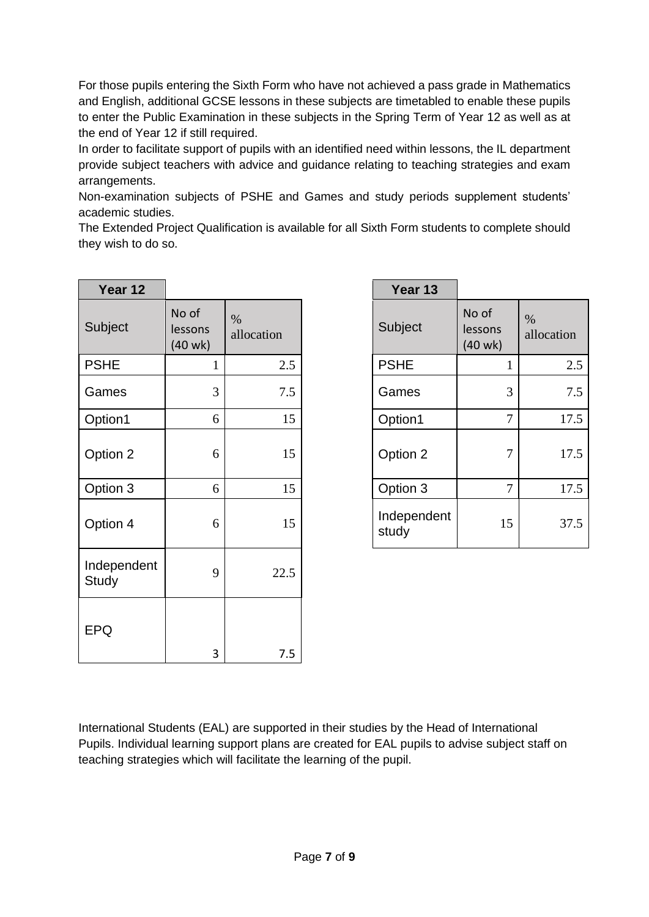For those pupils entering the Sixth Form who have not achieved a pass grade in Mathematics and English, additional GCSE lessons in these subjects are timetabled to enable these pupils to enter the Public Examination in these subjects in the Spring Term of Year 12 as well as at the end of Year 12 if still required.

In order to facilitate support of pupils with an identified need within lessons, the IL department provide subject teachers with advice and guidance relating to teaching strategies and exam arrangements.

Non-examination subjects of PSHE and Games and study periods supplement students' academic studies.

The Extended Project Qualification is available for all Sixth Form students to complete should they wish to do so.

| Year 12              |                                  |                    | Year 13              |                                       |                    |
|----------------------|----------------------------------|--------------------|----------------------|---------------------------------------|--------------------|
| Subject              | No of<br>lessons<br>$(40$ wk $)$ | $\%$<br>allocation | Subject              | No of<br>lessons<br>$(40 \text{ wk})$ | $\%$<br>allocation |
| <b>PSHE</b>          | $\mathbf{1}$                     | 2.5                | <b>PSHE</b>          | $\mathbf 1$                           | 2.5                |
| Games                | 3                                | 7.5                | Games                | $\overline{3}$                        | 7.5                |
| Option1              | 6                                | 15                 | Option1              | $\overline{7}$                        | 17.5               |
| Option 2             | 6                                | 15                 | Option 2             | $\overline{7}$                        | 17.5               |
| Option 3             | 6                                | 15                 | Option 3             | $\overline{7}$                        | 17.5               |
| Option 4             | 6                                | 15                 | Independent<br>study | 15                                    | 37.5               |
| Independent<br>Study | 9                                | 22.5               |                      |                                       |                    |
| <b>EPQ</b>           | 3                                | 7.5                |                      |                                       |                    |

| Year 13              |                             |                    |
|----------------------|-----------------------------|--------------------|
| Subject              | No of<br>lessons<br>(40 wk) | $\%$<br>allocation |
| <b>PSHE</b>          | 1                           | 2.5                |
| Games                | 3                           | 7.5                |
| Option1              | 7                           | 17.5               |
| Option 2             | 7                           | 17.5               |
| Option 3             | 7                           | 17.5               |
| Independent<br>study | 15                          | 37.5               |

International Students (EAL) are supported in their studies by the Head of International Pupils. Individual learning support plans are created for EAL pupils to advise subject staff on teaching strategies which will facilitate the learning of the pupil.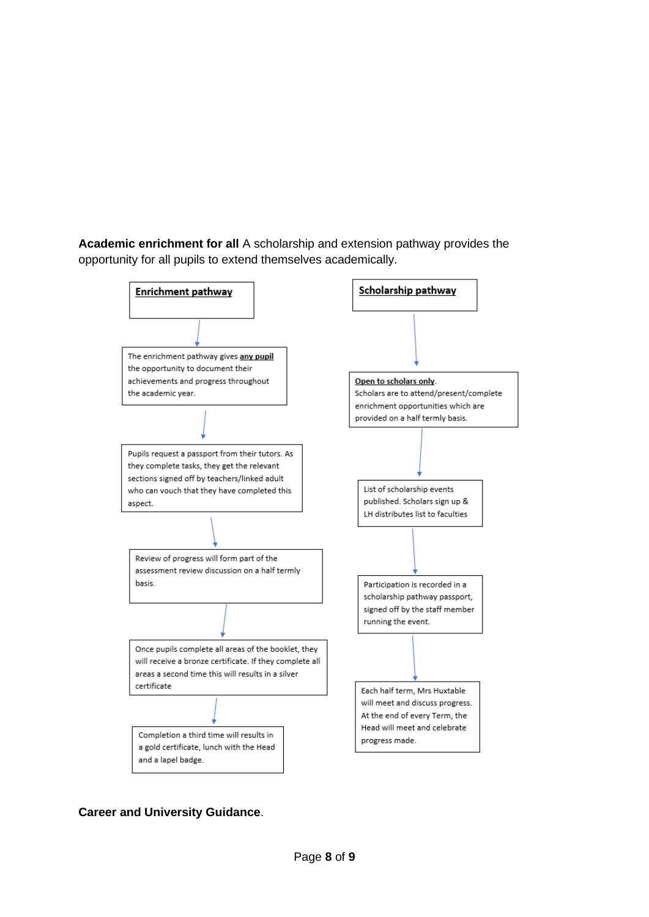**Academic enrichment for all** A scholarship and extension pathway provides the opportunity for all pupils to extend themselves academically.



**Career and University Guidance**.